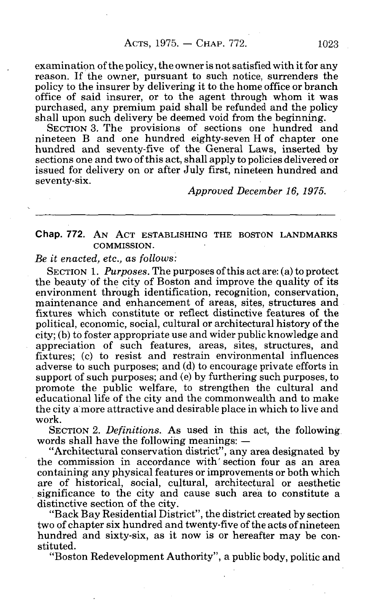examination of the policy, the owner is not satisfied with it for any reason. If the owner, pursuant to such notice, surrenders the policy to the insurer by delivering it to the home office or branch office of said insurer, or to the agent through whom it was purchased, any premium paid shall be refunded and the policy shall upon such delivery be deemed void from the beginning.

SECTION 3. The provisions of sections one hundred and nineteen B and one hundred eighty-seven H of chapter one hundred and seventy-five of the General Laws, inserted by sections one and two of this act, shall apply to policies delivered or issued for delivery on or after July first, nineteen hundred and seventy-six.

*Approved December 16, 1975.* 

## Chap. 772. AN ACT ESTABLISHING THE BOSTON LANDMARKS COMMISSION.

*Be it enacted, etc., as follows:* 

SECTION 1. *Purposes.* The purposes of this act are: (a) to protect the beauty of the city of Boston and improve the quality of its environment through identification, recognition, conservation, maintenance and enhancement of areas, sites, structures and fixtures which constitute or reflect distinctive features of the political, economic, social, cultural or architectural history of the city; (b) to foster appropriate use and wider public knowledge and appreciation of such features, areas, sites, structures, and fixtures; (c) to resist and restrain environmental influences adverse to such purposes; and (d) to encourage private efforts in support of such purposes; and (e) by furthering such purposes, to promote the public welfare, to strengthen the cultural and educational life of the city and the commonwealth and to make the city a more attractive and desirable place in which to live and work.

SECTION 2. *Definitions.* As used in this act, the following words shall have the following meanings: —

"Architectural conservation district", any area designated by the commission in accordance with' section four as an area containing any physical features or improvements or both which are of historical, social, cultural, architectural or aesthetic significance to the city and cause such area to constitute a distinctive section of the city.

"Back Bay Residential District", the district created by section two of chapter six hundred and twenty-five of the acts of nineteen hundred and sixty-six, as it now is or hereafter may be constituted.

"Boston Redevelopment Authority", a public body, politic and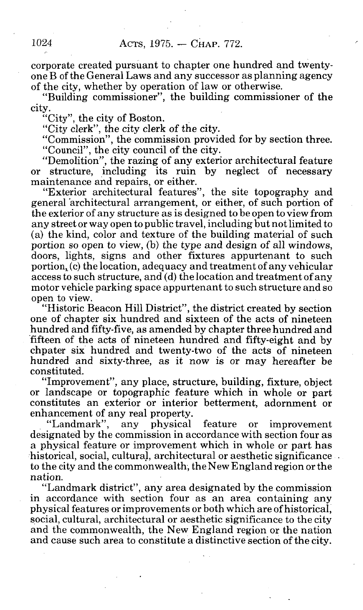corporate created pursuant to chapter one hundred and twentyone B of the General Laws and any successor as planning agency of the city, whether by operation of law or otherwise.

"Building commissioner", the building commissioner of the city.

"City", the city of Boston.

"City clerk", the city clerk of the city.

"Commission", the commission provided for by section three.<br>"Council", the city council of the city.

"Demolition", the razing of any exterior architectural feature Demontion", the razing of any exterior architectural feature or structure, including its ruin by neglect of necessary maintenance and repairs, or either.<br>
"Exterior architectural features", the site topography and

general architectural arrangement, or either, of such portion of the exterior of any structure as is designed to be open to view from any street or way open to public travel, including but not limited to (a) the kind, color and texture of the building material of such (a) the kind, color and texture of the building material of such  $\frac{1}{2}$ portion so open to view, (b) the type and design of all windows, doors, lights, signs and other fixtures appurtenant to such portion,  $(c)$  the location, adequacy and treatment of any vehicular access to such structure, and (d) the location and treatment of any motor vehicle parking space appurtenant to such structure and so open to view.

"Historic Beacon Hill District", the district created by section one of chapter six hundred and sixteen of the acts of nineteen hundred and fifty-five, as amended by chapter three hundred and fifteen of the acts of nineteen hundred and fifty-eight and by chpater six hundred and twenty-two of the acts of nineteen hundred and sixty-three, as it now is or may hereafter be constituted.

"Improvement", any place, structure, building, fixture, object or landscape or topographic feature which in whole or part constitutes an exterior or interior betterment, adornment or enhancement of any real property.<br>"Landmark", any physical

"Landmark", any physical feature or improvement designated by the commission in accordance with section four as a physical feature or improvement which in whole or part has historical, social, cultural, architectural or aesthetic significance. to the city and the commonwealth, the New England region or the nation.

"Landmark district", any area designated by the commission in accordance with section four as an area containing any physical features or improvements or both which are of historical. social, cultural, architectural or aesthetic significance to the city and the commonwealth, the New England region or the nation and cause such area to constitute a distinctive section of the city.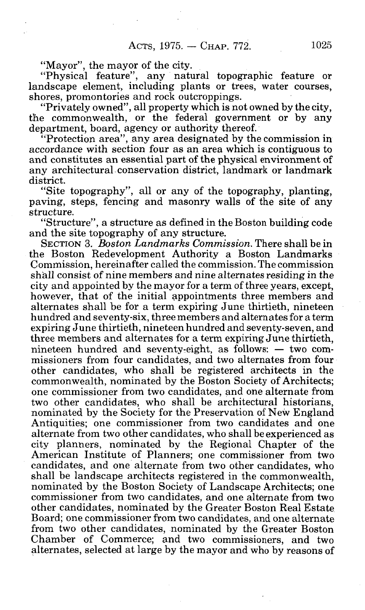"Mayor", the mayor of the city.

"Physical feature", any natural topographic feature or landscape element, including plants or trees, water courses, shores, promontories and rock outcroppings.

"Privately owned", all property which is not owned by the city, the commonwealth, or the federal government or by any department, board, agency or authority thereof.

"Protection area", any area designated by the commission in accordance with section four as an area which is contiguous to and constitutes an essential part of the physical environment of any architectural conservation district, landmark or landmark district.

"Site topography", all or any of the topography, planting, paving, steps, fencing and masonry walls of the site of any structure.

"Structure", a structure as defined in the Boston building code and the site topography of any structure.

SECTION 3. *Boston Landmarks Commission.* There shall be in the Boston Redevelopment Authority a Boston Landmarks Commission, hereinafter called the commission. The commission shall consist of nine members and nine alternates residing in the city and appointed by the mayor for a term of three years, except, however, that of the initial appointments three members and alternates shall be for a term expiring June thirtieth, nineteen hundred and seventy-six, three members and alternates for a term expiring June thirtieth, nineteen hundred and seventy-seven, and three members and alternates for a term expiring June thirtieth, nineteen hundred and seventy-eight, as follows: — two commissioners from four candidates, and two alternates from four other candidates, who shall be registered architects in the commonwealth, nominated by the Boston Society of Architects; one commissioner from two candidates, and one alternate from two other candidates, who shall be architectural historians, nominated by the Society for the Preservation of New England Antiquities; one commissioner from two candidates and one alternate from two other candidates, who shall be experienced as city planners, nominated by the Regional Chapter of the American Institute of Planners; one commissioner from two candidates, and one alternate from two other candidates, who shall be landscape architects registered in the commonwealth, nominated by the Boston Society of Landscape Architects; one commissioner from two candidates, and one alternate from two other candidates, nominated by the Greater Boston Real Estate Board; one commissioner from two candidates, and one alternate from two other candidates, nominated by the Greater Boston Chamber of Commerce; and two commissioners, and two alternates, selected at large by the mayor and who by reasons of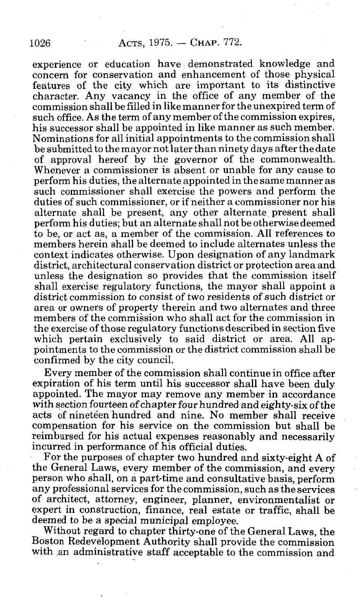experience or education have demonstrated knowledge and concern for conservation and enhancement of those physical features of the city which are important to its distinctive character. Any vacancy in the office of any member of the commission shall be filled in like manner for the unexpired term of such office. As the term of any member of the commission expires, his successor shall be appointed in like manner as such member. Nominations for all initial appointments to the commission shall be submitted to the mayor not later than ninety days after the date of approval hereof by the governor of the commonwealth. Whenever a commissioner is absent or unable for any cause to perform his duties, the alternate appointed in the same manner as such commissioner shall exercise the powers and perform the duties of such commissioner, or if neither a commissioner nor his alternate shall be present, any other alternate present shall perform his duties; but an alternate shall not be otherwise deemed to be, or act as, a member of the commission. All references to members herein shall be deemed to include alternates unless the context indicates otherwise. Upon designation of any landmark district, architectural conservation district or protection area and unless the designation so provides that the commission itself shall exercise regulatory functions, the mayor shall appoint a district commission to consist of two residents of such district or area or owners of property therein and two alternates and three members of the commission who shall act for the commission in the exercise of those regulatory functions described in section five which pertain exclusively to said district or area. All appointments to the commission or the district commission shall be confirmed by the city council.

Every member of the commission shall continue in office after expiration of his term until his successor shall have been duly appointed. The mayor may remove any member in accordance with section fourteen of chapter four hundred and eighty-six of the acts of nineteen hundred and nine. No member shall receive compensation for his service on the commission but shall be reimbursed for his actual expenses reasonably and necessarily incurred in performance of his official duties.

For the purposes of chapter two hundred and sixty-eight A of the General Laws, every member of the commission, and every person who shall, on a part-time and consultative basis, perform any professional services for the commission, such as the services of architect, attorney, engineer, planner, environmentalist or expert in construction, finance, real estate or traffic, shall be deemed to be a special municipal employee.

Without regard to chapter thirty-one of the General Laws, the Boston Redevelopment Authority shall provide the commission with an administrative staff acceptable to the commission and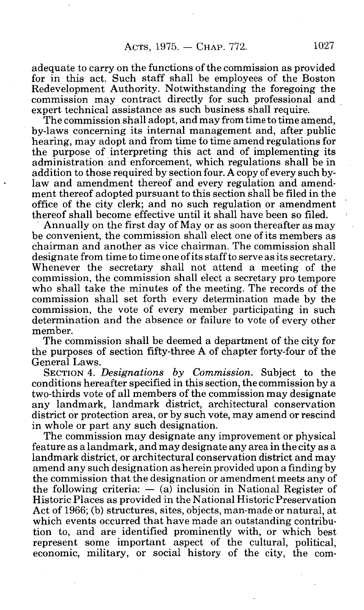adequate to carry on the functions of the commission as provided for in this act. Such staff shall be employees of the Boston Redevelopment Authority. Notwithstanding the foregoing the commission may contract directly for such professional and expert technical assistance as such business shall require.

The commission shall adopt, and may from time to time amend, by-laws concerning its internal management and, after public hearing, may adopt and from time to time amend regulations for the purpose of interpreting this act and of implementing its administration and enforcement, which regulations shall be in addition to those required by section four. A copy of every such bylaw and amendment thereof and every regulation and amendment thereof adopted pursuant to this section shall be filed in the office of the city clerk; and no such regulation or amendment thereof shall become effective until it shall have been so filed.

Annually on the first day of May or as soon thereafter as may be convenient, the commission shall elect one of its members as chairman and another as vice chairman. The commission shall designate from time to time one of its staff to serve as its secretary. Whenever the secretary shall not attend a meeting of the commission, the commission shall elect a secretary pro tempore who shall take the minutes of the meeting. The records of the commission shall set forth every determination made by the commission, the vote of every member participating in such determination and the absence or failure to vote of every other member.

The commission shall be deemed a department of the city for the purposes of section fifty-three A of chapter forty-four of the General Laws.

SECTION 4. *Designations by Commission.* Subject to the conditions hereafter specified in this section, the commission by a two-thirds vote of all members of the commission may designate any landmark, landmark district, architectural conservation district or protection area, or by such vote, may amend or rescind in whole or part any such designation.

The commission may designate any improvement or physical feature as a landmark, and may designate any area in the city as a landmark district, or architectural conservation district and may amend any such designation as herein provided upon a finding by the commission that the designation or amendment meets any of the following criteria:  $-$  (a) inclusion in National Register of Historic Places as provided in the National Historic Preservation Act of 1966; (b) structures, sites, objects, man-made or natural, at which events occurred that have made an outstanding contribution to, and are identified prominently with, or which best represent some important aspect of the cultural, political, economic, military, or social history of the city, the com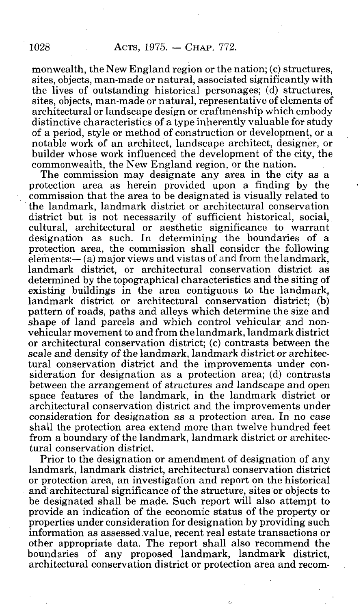monwealth, the New England region or the nation; (c) structures, sites, objects, man-made or natural, associated significantly with the lives of outstanding historical personages; (d) structures, sites, objects, man-made or natural, representative of elements of architectural or landscape design or craftmenship which embody distinctive characteristics of a type inherently valuable for study of a period, style or method of construction or development, or a notable work of an architect, landscape architect, designer, or builder whose work influenced the development of the city, the commonwealth, the New England region, or the nation.

The commission may designate any area in the city as a protection area as herein provided upon a finding by the commission that the area to be designated is visually related to the landmark, landmark district or architectural conservation district but is not necessarily of sufficient historical, social, cultural, architectural or aesthetic significance to warrant designation as such. In determining the boundaries of a protection area, the commission shall consider the following elements:— (a) major views and vistas of and from the landmark, landmark district, or architectural conservation district as determined by the topographical characteristics and the siting of existing buildings in the area contiguous to the landmark, landmark district or architectural conservation district; (b) pattern of roads, paths and alleys which determine the size and shape of land parcels and which control vehicular and nonvehicular movement to and from the landmark, landmark district or architectural conservation district; (c) contrasts between the scale and density of the landmark, landmark district or architectural conservation district and the improvements under consideration for designation as a protection area; (d) contrasts between the arrangement of structures and landscape and open space features of the landmark, in the landmark district or architectural conservation district and the improvements under consideration for designation as a protection area. In no case shall the protection area extend more than twelve hundred feet from a boundary of the landmark, landmark district or architectural conservation district.

Prior to the designation or amendment of designation of any landmark, landmark district, architectural conservation district or protection area, an investigation and report on the historical and architectural significance of the structure, sites or objects to be designated shall be made. Such report will also attempt to provide an indication of the economic status of the property or properties under consideration for designation by providing such information as assessed value, recent real estate transactions or other appropriate data. The report shall also recommend the boundaries of any proposed landmark, landmark district, architectural conservation district or protection area and recom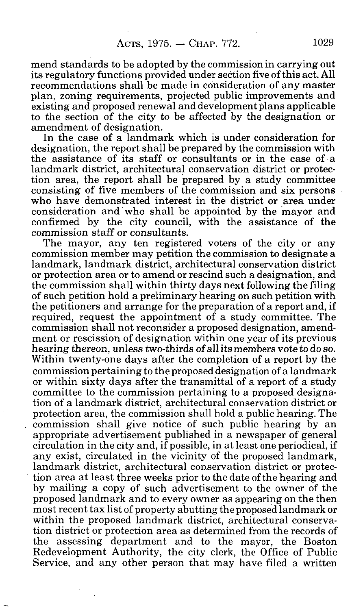mend standards to be adopted by the commission in carrying out its regulatory functions provided under section five of this act. All recommendations shall be made in consideration of any master plan, zoning requirements, projected public improvements and existing and proposed renewal and development plans applicable to the section of the city to be affected by the designation or amendment of designation.

In the case of a landmark which is under consideration for designation, the report shall be prepared by the commission with the assistance of its staff or consultants or in the case of a landmark district, architectural conservation district or protection area, the report shall be prepared by a study committee consisting of five members of the commission and six persons who have demonstrated interest in the district or area under consideration and who shall be appointed by the mayor and confirmed by the city council, with the assistance of the commission staff or consultants.

The mayor, any ten registered voters of the city or any commission member may petition the commission to designate a landmark, landmark district, architectural conservation district or protection area or to amend or rescind such a designation, and the commission shall within thirty days next following the filing of such petition hold a preliminary hearing on such petition with the petitioners and arrange for the preparation of a report and, if required, request the appointment of a study committee. The commission shall not reconsider a proposed designation, amendment or rescission of designation within one year of its previous hearing thereon, unless two-thirds of all its members vote to do so. Within twenty-one days after the completion of a report by the commission pertaining to the proposed designation of a landmark or within sixty days after the transmittal of a report of a study committee to the commission pertaining to a proposed designation of a landmark district, architectural conservation district or protection area, the commission shall hold a public hearing. The commission shall give notice of such public hearing by an appropriate advertisement published in a newspaper of general circulation in the city and, if possible, in at least one periodical, if any exist, circulated in the vicinity of the proposed landmark, landmark district, architectural conservation district or protection area at least three weeks prior to the date of the hearing and by mailing a copy of such advertisement to the owner of the proposed landmark and to every owner as appearing on the then most recent tax list of property abutting the proposed landmark or within the proposed landmark district, architectural conservation district or protection area as determined from the records of the assessing department and to the mayor, the Boston Redevelopment Authority, the city clerk, the Office of Public Service, and any other person that may have filed a written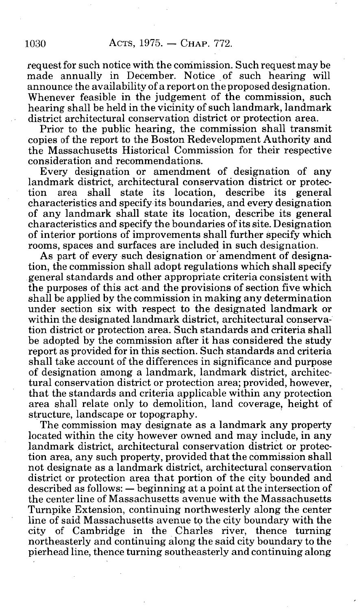request for such notice with the commission. Such request may be made annually in December. Notice of such hearing will announce the availability of a report on the proposed designation. Whenever feasible in the judgement of the commission, such hearing shall be held in the vicinity of such landmark, landmark district architectural conservation district or protection area.

Prior to the public hearing, the commission shall transmit copies of the report to the Boston Redevelopment Authority and the Massachusetts Historical Commission for their respective consideration and recommendations.

Every designation or amendment of designation of any landmark district, architectural conservation district or protection area shall state its location, describe its general characteristics and specify its boundaries, and every designation of any landmark shall state its location, describe its general characteristics and specify the boundaries of its site. Designation of interior portions of improvements shall further specify which rooms, spaces and surfaces are included in such designation.

As part of every such designation or amendment of designation, the commission shall adopt regulations which shall specify general standards and other appropriate criteria consistent with the purposes of this act and the provisions of section five which shall be applied by the commission in making any determination under section six with respect to the designated landmark or within the designated landmark district, architectural conservation district or protection area. Such standards and criteria shall be adopted by the commission after it has considered the study report as provided for in this section. Such standards and criteria shall take account of the differences in significance and purpose of designation among a landmark, landmark district, architectural conservation district or protection area; provided, however, that the standards and criteria applicable within any protection area shall relate only to demolition, land coverage, height of structure, landscape or topography.

The commission may designate as a landmark any property located within the city however owned and may include, in any landmark district, architectural conservation district or protection area, any such property, provided that the commission shall not designate as a landmark district, architectural conservation district or protection area that portion of the city bounded and described as follows: — beginning at a point at the intersection of the center line of Massachusetts avenue with the Massachusetts Turnpike Extension, continuing northwesterly along the center line of said Massachusetts avenue to the city boundary with the city of Cambridge in the Charles river, thence turning northeasterly and continuing along the said city boundary to the pierhead line, thence turning southeasterly and continuing along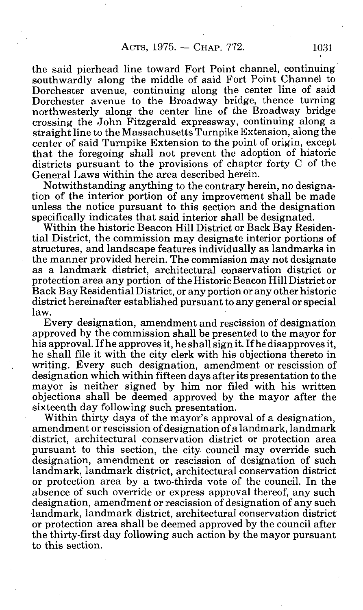the said pierhead line toward Fort Point channel, continuing southwardly along the middle of said Fort Point Channel to Dorchester avenue, continuing along the center line of said Dorchester avenue to the Broadway bridge, thence turning northwesterly along the center line of the Broadway bridge crossing the John Fitzgerald expressway, continuing along a straight line to the Massachusetts Turnpike Extension, along the center of said Turnpike Extension to the point of origin, except that the foregoing shall not prevent the adoption of historic districts pursuant to the provisions of chapter forty C of the General Laws within the area described herein.

Notwithstanding anything to the contrary herein, no designation of the interior portion of any improvement shall be made unless the notice pursuant to this section and the designation specifically indicates that said interior shall be designated.

Within the historic Beacon Hill District or Back Bay Residential District, the commission may designate interior portions of structures, and landscape features individually as landmarks in the manner provided herein. The commission may not designate as a landmark district, architectural conservation district or protection area any portion of the Historic Beacon Hill District or Back Bay Residential District, or any portion or any other historic district hereinafter established pursuant to any general or special law.

Every designation, amendment and rescission of designation approved by the commission shall be presented to the mayor for his approval. If he approves it, he shall sign it. If he disapproves it, he shall file it with the city clerk with his objections thereto in writing. Every such designation, amendment or rescission of designation which within fifteen days after its presentation to the mayor is neither signed by him nor filed with his written objections shall be deemed approved by the mayor after the sixteenth day following such presentation.

Within thirty days of the mayor's approval of a designation, amendment or rescission of designation of a landmark, landmark district, architectural conservation district or protection area pursuant to this section, the city council may override such designation, amendment or rescission of designation of such landmark, landmark district, architectural conservation district or protection area by a two-thirds vote of the council. In the absence of such override or express approval thereof, any such designation, amendment or rescission of designation of any such landmark, landmark district, architectural conservation district or protection area shall be deemed approved by the council after the thirty-first day following such action by the mayor pursuant to this section.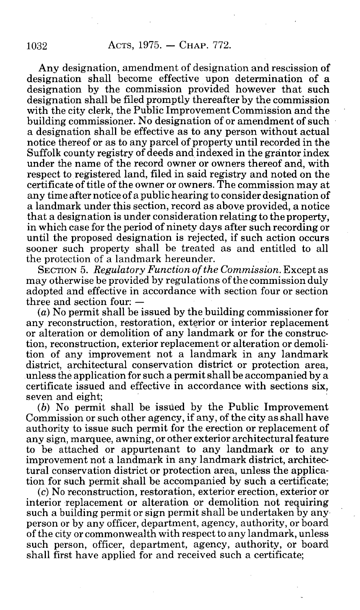Any designation, amendment of designation and rescission of designation shall become effective upon determination of a designation by the commission provided however that such designation shall be filed promptly thereafter by the commission with the city clerk, the Public Improvement Commission and the building commissioner. No designation of or amendment of such a designation shall be effective as to any person without actual notice thereof or as to any parcel of property until recorded in the Suffolk county registry of deeds and indexed in the grantor index under the name of the record owner or owners thereof and, with respect to registered land, filed in said registry and noted on the certificate of title of the owner or owners. The commission may at any time after notice of a public hearing to consider designation of a landmark under this section, record as above provided, a notice that a designation is under consideration relating to the property, in which case for the period of ninety days after such recording or until the proposed designation is rejected, if such action occurs sooner such property shall be treated as and entitled to all the protection of a landmark hereunder.

SECTION 5. *Regulatory Function of the Commission.* Except as may otherwise be provided by regulations of the commission duly adopted and effective in accordance with section four or section three and section four: —

(a) No permit shall be issued by the building commissioner for any reconstruction, restoration, exterior or interior replacement or alteration or demolition of any landmark or for the construction, reconstruction, exterior replacement or alteration or demolition of any improvement not a landmark in any landmark district, architectural conservation district or protection area, unless the application for such a permit shall be accompanied by a certificate issued and effective in accordance with sections six, seven and eight;

*(b)* No permit shall be issued by the Public Improvement Commission or such other agency, if any, of the city as shall have authority to issue such permit for the erection or replacement of any sign, marquee, awning, or other exterior architectural feature to be attached or appurtenant to any landmark or to any improvement not a landmark in any landmark district, architectural conservation district or protection area, unless the application for such permit shall be accompanied by such a certificate;

(c) No reconstruction, restoration, exterior erection, exterior or interior replacement or alteration or demolition not requiring such a building permit or sign permit shall be undertaken by any person or by any officer, department, agency, authority, or board of the city or commonwealth with respect to any landmark, unless such person, officer, department, agency, authority, or board shall first have applied for and received such a certificate;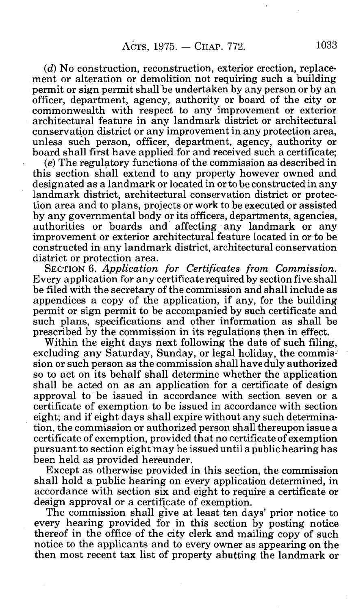*(d)* No construction, reconstruction, exterior erection, replacement or alteration or demolition not requiring such a building permit or sign permit shall be undertaken by any person or by an officer, department, agency, authority or board of the city or commonwealth with respect to any improvement or exterior architectural feature in any landmark district or architectural conservation district or any improvement in any protection area, unless such person, officer, department, agency, authority or board shall first have applied for and received such a certificate;

*(e)* The regulatory functions of the commission as described in this section shall extend to any property however owned and designated as a landmark or located in or to be constructed in any landmark district, architectural conservation district or protection area and to plans, projects or work to be executed or assisted by any governmental body or its officers, departments, agencies, authorities or boards and affecting any landmark or any improvement or exterior architectural feature located in or to be constructed in any landmark district, architectural conservation district or protection area.

SECTION 6. *Application for Certificates from Commission.*  Every application for any certificate required by section five shall be filed with the secretary of the commission and shall include as appendices a copy of the application, if any, for the building permit or sign permit to be accompanied by such certificate and such plans, specifications and other information as shall be prescribed by the commission in its regulations then in effect.

Within the eight days next following the date of such filing, excluding any Saturday, Sunday, or legal holiday, the commission or such person as the commission shall have duly authorized so to act on its behalf shall determine whether the application shall be acted on as an application for a certificate of design approval to be issued in accordance with section seven or a certificate of exemption to be issued in accordance with section eight; and if eight days shall expire without any such determination, the commission or authorized person shall thereupon issue a certificate of exemption, provided that no certificate of exemption pursuant to section eight may be issued until a public hearing has been held as provided hereunder.

Except as otherwise provided in this section, the commission shall hold a public hearing on every application determined, in accordance with section six and eight to require a certificate or design approval or a certificate of exemption.

The commission shall give at least ten days' prior notice to every hearing provided for in this section by posting notice thereof in the office of the city clerk and mailing copy of such notice to the applicants and to every owner as appearing on the then most recent tax list of property abutting the landmark or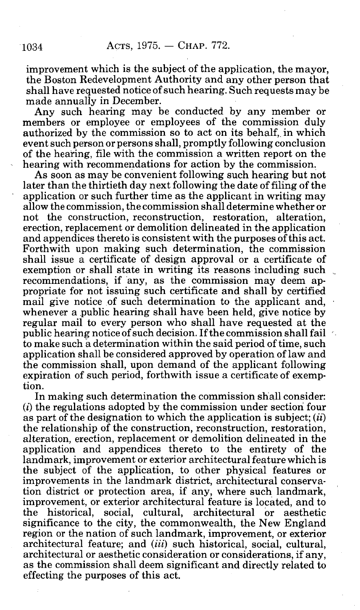improvement which is the subject of the application, the mayor, the Boston Redevelopment Authority and any other person that shall have requested notice of such hearing. Such requests may be made annually in December.

Any such hearing may be conducted by any member or members or employee or employees of the commission duly authorized by the commission so to act on its behalf, in which event such person or persons shall, promptly following conclusion of the hearing, file with the commission a written report on the hearing with recommendations for action by the commission.

As soon as may be convenient following such hearing but not later than the thirtieth day next following the date of filing of the application or such further time as the applicant in writing may allow the commission, the commission shall determine whether or not the construction, reconstruction, restoration, alteration, erection, replacement or demolition delineated in the application and appendices thereto is consistent with the purposes of this act. Forthwith upon making such determination, the commission shall issue a certificate of design approval or a certificate of exemption or shall state in writing its reasons including such \_ recommendations, if any, as the commission may deem appropriate for not issuing such certificate and shall by certified mail give notice of such determination to the applicant and, whenever a public hearing shall have been held, give notice by regular mail to every person who shall have requested at the public hearing notice of such decision. If the commission shall fail to make such a determination within the said period of time, such application shall be considered approved by operation of law and the commission shall, upon demand of the applicant following expiration of such period, forthwith issue a certificate of exemption.

In making such determination the commission shall consider:  $(i)$  the regulations adopted by the commission under section four as part of the designation to which the application is subject; *(ii)*  the relationship of the construction, reconstruction, restoration, alteration, erection, replacement or demolition delineated in the application and appendices thereto to the entirety of the landmark, improvement or exterior architectural feature which is the subject of the application, to other physical features or improvements in the landmark district, architectural conservation district or protection area, if any, where such landmark, improvement, or exterior architectural feature is located, and to the historical, social, cultural, architectural or aesthetic significance to the city, the commonwealth, the New England region or the nation of such landmark, improvement, or exterior architectural feature; and *(iii)* such historical, social, cultural, architectural or aesthetic consideration or considerations, if any, as the commission shall deem significant and directly related to effecting the purposes of this act.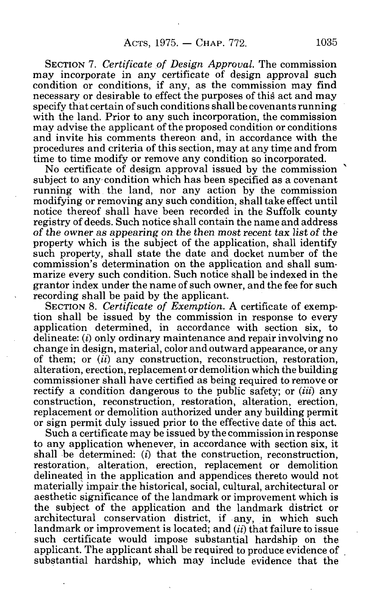SECTION 7. *Certificate of Design Approval.* The commission may incorporate in any certificate of design approval such condition or conditions, if any, as the commission may find necessary or desirable to effect the purposes of this act and may specify that certain of such conditions shall be covenants running with the land. Prior to any such incorporation, the commission may advise the applicant of the proposed condition or conditions and invite his comments thereon and, in accordance with the procedures and criteria of this section, may at any time and from time to time modify or remove any condition so incorporated.

No certificate of design approval issued by the commission subiect to any condition which has been specified as a covenant running with the land, nor any action by the commission modifying or removing any such condition, shall take effect until notice thereof shall have been recorded in the Suffolk county registry of deeds. Such notice shall contain the name and address of the owner as appearing on the then most recent tax list of the property which is the subject of the application, shall identify such property, shall state the date and docket number of the commission's determination on the application and shall summarize every such condition. Such notice shall be indexed in the grantor index under the name of such owner, and the fee for such recording shall be paid by the applicant.

SECTION 8. *Certificate of Exemption.* A certificate of exemption shall be issued by the commission in response to every application determined, in accordance with section six, to delineate: *(i)* only ordinary maintenance and repair involving no change in design, material, color and outward appearance, or any of them; or *(ii)* any construction, reconstruction, restoration, alteration, erection, replacement or demolition which the building commissioner shall have certified as being required to remove or rectify a condition dangerous to the public safety; or *(iii)* any construction, reconstruction, restoration, alteration, erection, replacement or demolition authorized under any building permit or sign permit duly issued prior to the effective date of this act.

Such a certificate may be issued by the commission in response to any application whenever, in accordance with section six, it shall be determined: *(i)* that the construction, reconstruction, restoration, alteration, erection, replacement or demolition delineated in the application and appendices thereto would not materially impair the historical, social, cultural, architectural or aesthetic significance of the landmark or improvement which is the subject of the application and the landmark district or architectural conservation district, if any, in which such landmark or improvement is located; and *(ii)* that failure to issue such certificate would impose substantial hardship on the applicant. The applicant shall be required to produce evidence of substantial hardship, which may include evidence that the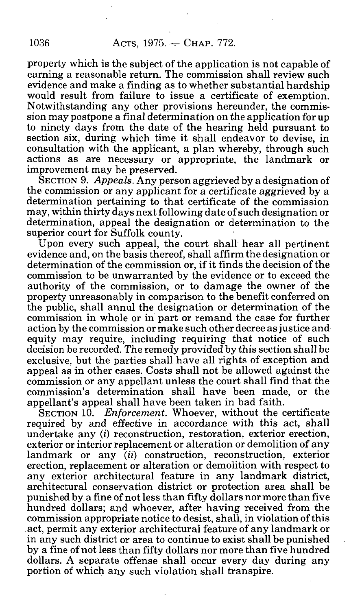property which is the subject of the application is not capable of earning a reasonable return. The commission shall review such evidence and make a finding as to whether substantial hardship would result from failure to issue a certificate of exemption. Notwithstanding any other provisions hereunder, the commission may postpone a final determination on the application for up to ninety days from the date of the hearing held pursuant to section six, during which time it shall endeavor to devise, in consultation with the applicant, a plan whereby, through such actions as are necessary or appropriate, the landmark or improvement may be preserved.

SECTION 9. *Appeals.* Any person aggrieved by a designation of the commission or any applicant for a certificate aggrieved by a determination pertaining to that certificate of the commission may, within thirty days next following date of such designation or determination, appeal the designation or determination to the superior court for Suffolk county.

Upon every such appeal, the court shall hear all pertinent evidence and, on the basis thereof, shall affirm the designation or determination of the commission or, if it finds the decision of the commission to be unwarranted by the evidence or to exceed the authority of the commission, or to damage the owner of the property unreasonably in comparison to the benefit conferred on the public, shall annul the designation or determination of the commission in whole or in part or remand the case for further action by the commission or make such other decree as justice and equity may require, including requiring that notice of such decision be recorded. The remedy provided by this section shall be exclusive, but the parties shall have all rights of exception and appeal as in other cases. Costs shall not be allowed against the commission or any appellant unless the court shall find that the commission's determination shall have been made, or the appellant's appeal shall have been taken in bad faith.

SECTION 10. *Enforcement.* Whoever, without the certificate required by and effective in accordance with this act, shall undertake any *(i)* reconstruction, restoration, exterior erection, exterior or interior replacement or alteration or demolition of any landmark or any  $(ii)$  construction, reconstruction, exterior erection, replacement or alteration or demolition with respect to any exterior architectural feature in any landmark district, architectural conservation district or protection area shall be punished by a fine of not less than fifty dollars nor more than five hundred dollars; and whoever, after having received from the commission appropriate notice to desist, shall, in violation of this act, permit any exterior architectural feature of any landmark or in any such district or area to continue to exist shall be punished by a fine of not less than fifty dollars nor more than five hundred dollars. A separate offense shall occur every day during any portion of which any such violation shall transpire.